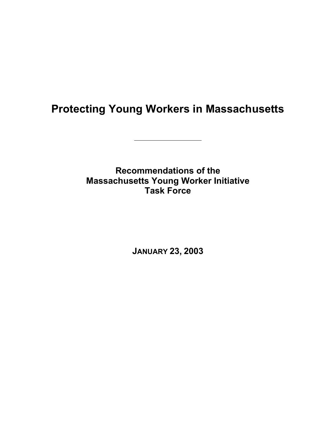# **Protecting Young Workers in Massachusetts**

**Recommendations of the Massachusetts Young Worker Initiative Task Force** 

**JANUARY 23, 2003**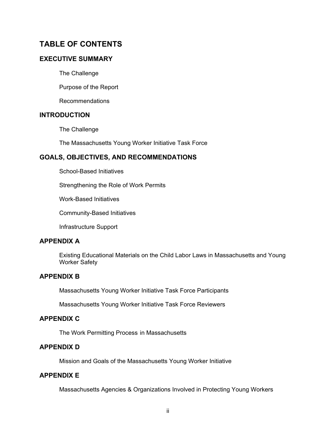## **TABLE OF CONTENTS**

## **EXECUTIVE SUMMARY**

The Challenge

Purpose of the Report

Recommendations

## **INTRODUCTION**

The Challenge

The Massachusetts Young Worker Initiative Task Force

## **GOALS, OBJECTIVES, AND RECOMMENDATIONS**

School-Based Initiatives

Strengthening the Role of Work Permits

Work-Based Initiatives

Community-Based Initiatives

Infrastructure Support

## **APPENDIX A**

Existing Educational Materials on the Child Labor Laws in Massachusetts and Young Worker Safety

## **APPENDIX B**

Massachusetts Young Worker Initiative Task Force Participants

Massachusetts Young Worker Initiative Task Force Reviewers

#### **APPENDIX C**

The Work Permitting Process in Massachusetts

## **APPENDIX D**

Mission and Goals of the Massachusetts Young Worker Initiative

## **APPENDIX E**

Massachusetts Agencies & Organizations Involved in Protecting Young Workers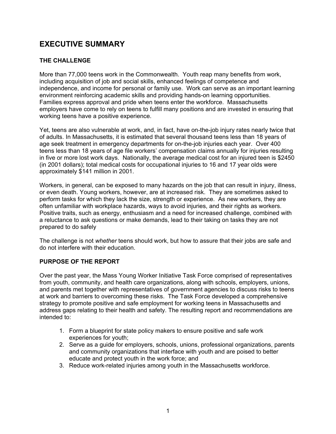## **EXECUTIVE SUMMARY**

## **THE CHALLENGE**

More than 77,000 teens work in the Commonwealth. Youth reap many benefits from work, including acquisition of job and social skills, enhanced feelings of competence and independence, and income for personal or family use. Work can serve as an important learning environment reinforcing academic skills and providing hands-on learning opportunities. Families express approval and pride when teens enter the workforce. Massachusetts employers have come to rely on teens to fulfill many positions and are invested in ensuring that working teens have a positive experience.

Yet, teens are also vulnerable at work, and, in fact, have on-the-job injury rates nearly twice that of adults. In Massachusetts, it is estimated that several thousand teens less than 18 years of age seek treatment in emergency departments for on-the-job injuries each year. Over 400 teens less than 18 years of age file workers' compensation claims annually for injuries resulting in five or more lost work days. Nationally, the average medical cost for an injured teen is \$2450 (in 2001 dollars); total medical costs for occupational injuries to 16 and 17 year olds were approximately \$141 million in 2001.

Workers, in general, can be exposed to many hazards on the job that can result in injury, illness, or even death. Young workers, however, are at increased risk. They are sometimes asked to perform tasks for which they lack the size, strength or experience. As new workers, they are often unfamiliar with workplace hazards, ways to avoid injuries, and their rights as workers. Positive traits, such as energy, enthusiasm and a need for increased challenge, combined with a reluctance to ask questions or make demands, lead to their taking on tasks they are not prepared to do safely

The challenge is not *whether* teens should work, but how to assure that their jobs are safe and do not interfere with their education.

#### **PURPOSE OF THE REPORT**

Over the past year, the Mass Young Worker Initiative Task Force comprised of representatives from youth, community, and health care organizations, along with schools, employers, unions, and parents met together with representatives of government agencies to discuss risks to teens at work and barriers to overcoming these risks. The Task Force developed a comprehensive strategy to promote positive and safe employment for working teens in Massachusetts and address gaps relating to their health and safety. The resulting report and recommendations are intended to:

- 1. Form a blueprint for state policy makers to ensure positive and safe work experiences for youth;
- 2. Serve as a guide for employers, schools, unions, professional organizations, parents and community organizations that interface with youth and are poised to better educate and protect youth in the work force; and
- 3. Reduce work-related injuries among youth in the Massachusetts workforce.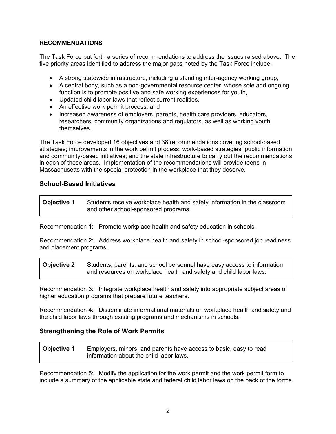### **RECOMMENDATIONS**

The Task Force put forth a series of recommendations to address the issues raised above. The five priority areas identified to address the major gaps noted by the Task Force include:

- A strong statewide infrastructure, including a standing inter-agency working group,
- A central body, such as a non-governmental resource center, whose sole and ongoing function is to promote positive and safe working experiences for youth,
- Updated child labor laws that reflect current realities,
- An effective work permit process, and
- Increased awareness of employers, parents, health care providers, educators, researchers, community organizations and regulators, as well as working youth themselves.

The Task Force developed 16 objectives and 38 recommendations covering school-based strategies; improvements in the work permit process; work-based strategies; public information and community-based initiatives; and the state infrastructure to carry out the recommendations in each of these areas. Implementation of the recommendations will provide teens in Massachusetts with the special protection in the workplace that they deserve.

## **School-Based Initiatives**

**Objective 1** Students receive workplace health and safety information in the classroom and other school-sponsored programs.

Recommendation 1: Promote workplace health and safety education in schools.

Recommendation 2: Address workplace health and safety in school-sponsored job readiness and placement programs.

**Objective 2** Students, parents, and school personnel have easy access to information and resources on workplace health and safety and child labor laws.

Recommendation 3: Integrate workplace health and safety into appropriate subject areas of higher education programs that prepare future teachers.

Recommendation 4: Disseminate informational materials on workplace health and safety and the child labor laws through existing programs and mechanisms in schools.

## **Strengthening the Role of Work Permits**

| <b>Objective 1</b> | Employers, minors, and parents have access to basic, easy to read |
|--------------------|-------------------------------------------------------------------|
|                    | information about the child labor laws.                           |

Recommendation 5: Modify the application for the work permit and the work permit form to include a summary of the applicable state and federal child labor laws on the back of the forms.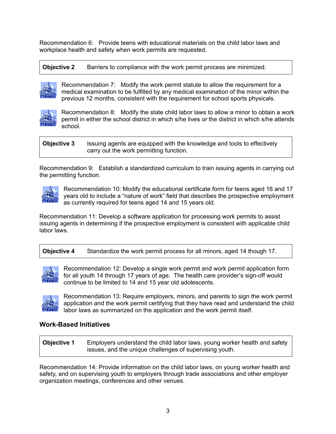Recommendation 6: Provide teens with educational materials on the child labor laws and workplace health and safety when work permits are requested.

**Objective 2** Barriers to compliance with the work permit process are minimized.



Recommendation 7: Modify the work permit statute to allow the requirement for a medical examination to be fulfilled by any medical examination of the minor within the previous 12 months, consistent with the requirement for school sports physicals.



Recommendation 8: Modify the state child labor laws to allow a minor to obtain a work permit in either the school district in which s/he lives *or* the district in which s/he attends school.

**Objective 3** Issuing agents are equipped with the knowledge and tools to effectively carry out the work permitting function.

Recommendation 9: Establish a standardized curriculum to train issuing agents in carrying out the permitting function.



Recommendation 10: Modify the educational certificate form for teens aged 16 and 17 years old to include a "nature of work" field that describes the prospective employment as currently required for teens aged 14 and 15 years old.

Recommendation 11: Develop a software application for processing work permits to assist issuing agents in determining if the prospective employment is consistent with applicable child labor laws.

**Objective 4** Standardize the work permit process for all minors, aged 14 though 17.



Recommendation 12: Develop a single work permit and work permit application form for all youth 14 through 17 years of age. The health care provider's sign-off would continue to be limited to 14 and 15 year old adolescents.



Recommendation 13: Require employers, minors, and parents to sign the work permit application and the work permit certifying that they have read and understand the child labor laws as summarized on the application and the work permit itself.

## **Work-Based Initiatives**

**Objective 1** Employers understand the child labor laws, young worker health and safety issues, and the unique challenges of supervising youth.

Recommendation 14: Provide information on the child labor laws, on young worker health and safety, and on supervising youth to employers through trade associations and other employer organization meetings, conferences and other venues.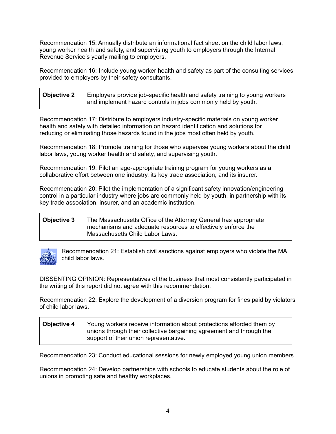Recommendation 15: Annually distribute an informational fact sheet on the child labor laws, young worker health and safety, and supervising youth to employers through the Internal Revenue Service's yearly mailing to employers.

Recommendation 16: Include young worker health and safety as part of the consulting services provided to employers by their safety consultants.

**Objective 2** Employers provide job-specific health and safety training to young workers and implement hazard controls in jobs commonly held by youth.

Recommendation 17: Distribute to employers industry-specific materials on young worker health and safety with detailed information on hazard identification and solutions for reducing or eliminating those hazards found in the jobs most often held by youth*.*

Recommendation 18: Promote training for those who supervise young workers about the child labor laws, young worker health and safety, and supervising youth.

Recommendation 19: Pilot an age-appropriate training program for young workers as a collaborative effort between one industry, its key trade association, and its insurer.

Recommendation 20: Pilot the implementation of a significant safety innovation/engineering control in a particular industry where jobs are commonly held by youth, in partnership with its key trade association, insurer, and an academic institution.

### **Objective 3** The Massachusetts Office of the Attorney General has appropriate mechanisms and adequate resources to effectively enforce the Massachusetts Child Labor Laws.



Recommendation 21: Establish civil sanctions against employers who violate the MA child labor laws.

DISSENTING OPINION: Representatives of the business that most consistently participated in the writing of this report did not agree with this recommendation.

Recommendation 22: Explore the development of a diversion program for fines paid by violators of child labor laws.

### **Objective 4** Young workers receive information about protections afforded them by unions through their collective bargaining agreement and through the support of their union representative.

Recommendation 23: Conduct educational sessions for newly employed young union members.

Recommendation 24: Develop partnerships with schools to educate students about the role of unions in promoting safe and healthy workplaces.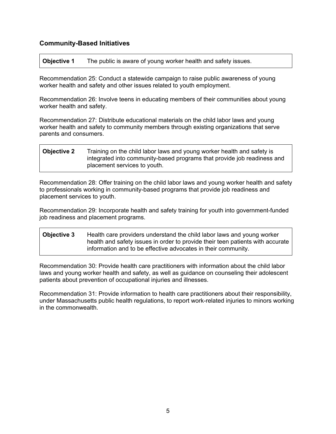## **Community-Based Initiatives**

**Objective 1** The public is aware of young worker health and safety issues.

Recommendation 25: Conduct a statewide campaign to raise public awareness of young worker health and safety and other issues related to youth employment.

Recommendation 26: Involve teens in educating members of their communities about young worker health and safety.

Recommendation 27: Distribute educational materials on the child labor laws and young worker health and safety to community members through existing organizations that serve parents and consumers.

## **Objective 2** Training on the child labor laws and young worker health and safety is integrated into community-based programs that provide job readiness and placement services to youth.

Recommendation 28: Offer training on the child labor laws and young worker health and safety to professionals working in community-based programs that provide job readiness and placement services to youth.

Recommendation 29: Incorporate health and safety training for youth into government-funded job readiness and placement programs.

**Objective 3** Health care providers understand the child labor laws and young worker health and safety issues in order to provide their teen patients with accurate information and to be effective advocates in their community.

Recommendation 30: Provide health care practitioners with information about the child labor laws and young worker health and safety, as well as guidance on counseling their adolescent patients about prevention of occupational injuries and illnesses.

Recommendation 31: Provide information to health care practitioners about their responsibility, under Massachusetts public health regulations, to report work-related injuries to minors working in the commonwealth.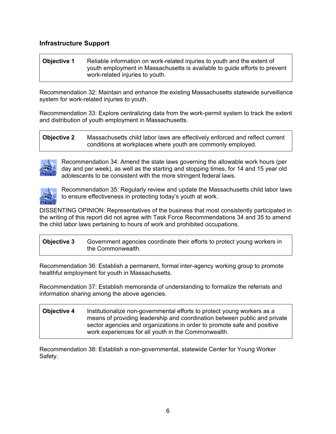## **Infrastructure Support**

**Objective 1** Reliable information on work-related injuries to youth and the extent of youth employment in Massachusetts is available to guide efforts to prevent work-related injuries to youth.

Recommendation 32: Maintain and enhance the existing Massachusetts statewide surveillance system for work-related injuries to youth.

Recommendation 33: Explore centralizing data from the work-permit system to track the extent and distribution of youth employment in Massachusetts.

**Objective 2** Massachusetts child labor laws are effectively enforced and reflect current conditions at workplaces where youth are commonly employed.



Recommendation 34: Amend the state laws governing the allowable work hours (per day and per week), as well as the starting and stopping times, for 14 and 15 year old adolescents to be consistent with the more stringent federal laws.



Recommendation 35: Regularly review and update the Massachusetts child labor laws to ensure effectiveness in protecting today's youth at work.

DISSENTING OPINION: Representatives of the business that most consistently participated in the writing of this report did not agree with Task Force Recommendations 34 and 35 to amend the child labor laws pertaining to hours of work and prohibited occupations.

**Objective 3** Government agencies coordinate their efforts to protect young workers in the Commonwealth.

Recommendation 36: Establish a permanent, formal inter-agency working group to promote healthful employment for youth in Massachusetts.

Recommendation 37: Establish memoranda of understanding to formalize the referrals and information sharing among the above agencies.

**Objective 4** Institutionalize non-governmental efforts to protect young workers as a means of providing leadership and coordination between public and private sector agencies and organizations in order to promote safe and positive work experiences for all youth in the Commonwealth.

Recommendation 38: Establish a non-governmental, statewide Center for Young Worker Safety.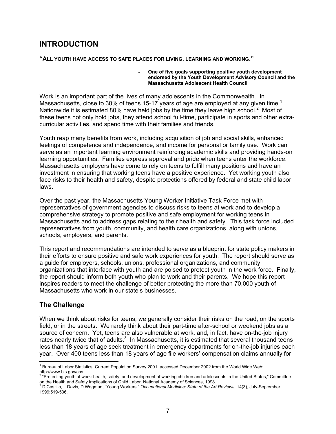## **INTRODUCTION**

#### **"ALL YOUTH HAVE ACCESS TO SAFE PLACES FOR LIVING, LEARNING AND WORKING."**

#### - **One of five goals supporting positive youth development endorsed by the Youth Development Advisory Council and the Massachusetts Adolescent Health Council**

Work is an important part of the lives of many adolescents in the Commonwealth. In Massachusetts, close to 30% of teens 15-17 years of age are employed at any given time.<sup>1</sup> Nationwide it is estimated 80% have held jobs by the time they leave high school.<sup>2</sup> Most of these teens not only hold jobs, they attend school full-time, participate in sports and other extracurricular activities, and spend time with their families and friends.

Youth reap many benefits from work, including acquisition of job and social skills, enhanced feelings of competence and independence, and income for personal or family use. Work can serve as an important learning environment reinforcing academic skills and providing hands-on learning opportunities. Families express approval and pride when teens enter the workforce. Massachusetts employers have come to rely on teens to fulfill many positions and have an investment in ensuring that working teens have a positive experience. Yet working youth also face risks to their health and safety, despite protections offered by federal and state child labor laws.

Over the past year, the Massachusetts Young Worker Initiative Task Force met with representatives of government agencies to discuss risks to teens at work and to develop a comprehensive strategy to promote positive and safe employment for working teens in Massachusetts and to address gaps relating to their health and safety. This task force included representatives from youth, community, and health care organizations, along with unions, schools, employers, and parents.

This report and recommendations are intended to serve as a blueprint for state policy makers in their efforts to ensure positive and safe work experiences for youth. The report should serve as a guide for employers, schools, unions, professional organizations, and community organizations that interface with youth and are poised to protect youth in the work force. Finally, the report should inform both youth who plan to work and their parents. We hope this report inspires readers to meet the challenge of better protecting the more than 70,000 youth of Massachusetts who work in our state's businesses.

## **The Challenge**

When we think about risks for teens, we generally consider their risks on the road, on the sports field, or in the streets. We rarely think about their part-time after-school or weekend jobs as a source of concern. Yet, teens are also vulnerable at work, and, in fact, have on-the-job injury rates nearly twice that of adults. $3\,$  In Massachusetts, it is estimated that several thousand teens less than 18 years of age seek treatment in emergency departments for on-the-job injuries each year. Over 400 teens less than 18 years of age file workers' compensation claims annually for

 <sup>1</sup> Bureau of Labor Statistics, Current Population Survey 2001, accessed December 2002 from the World Wide Web: http://www.bls.gov/cps.

<sup>&</sup>lt;sup>2</sup> "Protecting youth at work: health, safety, and development of working children and adolescents in the United States," Committee

on the Health and Safety Implications of Child Labor. National Academy of Sciences, 1998.<br><sup>3</sup> D Castillo, L Davis, D Wegman, "Young Workers," *Occupational Medicine: State of the Art Reviews*, 14(3), July-September 1999:519-536.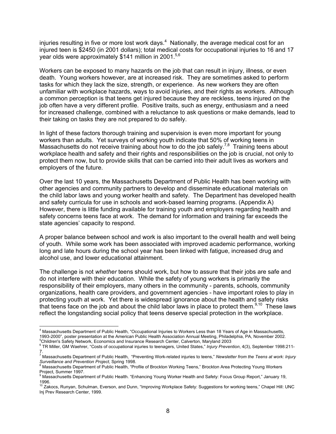injuries resulting in five or more lost work days.<sup>4</sup> Nationally, the average medical cost for an injured teen is \$2450 (in 2001 dollars); total medical costs for occupational injuries to 16 and 17 year olds were approximately \$141 million in 2001.<sup>5,6</sup>

Workers can be exposed to many hazards on the job that can result in injury, illness, or even death. Young workers however, are at increased risk. They are sometimes asked to perform tasks for which they lack the size, strength, or experience. As new workers they are often unfamiliar with workplace hazards, ways to avoid injuries, and their rights as workers. Although a common perception is that teens get injured because they are reckless, teens injured on the job often have a very different profile. Positive traits, such as energy, enthusiasm and a need for increased challenge, combined with a reluctance to ask questions or make demands, lead to their taking on tasks they are not prepared to do safely.

In light of these factors thorough training and supervision is even more important for young workers than adults. Yet surveys of working youth indicate that 50% of working teens in Massachusetts do not receive training about how to do the job safely.<sup>7,8</sup> Training teens about workplace health and safety and their rights and responsibilities on the job is crucial, not only to protect them now, but to provide skills that can be carried into their adult lives as workers and employers of the future.

Over the last 10 years, the Massachusetts Department of Public Health has been working with other agencies and community partners to develop and disseminate educational materials on the child labor laws and young worker health and safety. The Department has developed health and safety curricula for use in schools and work-based learning programs. (Appendix A) However, there is little funding available for training youth and employers regarding health and safety concerns teens face at work. The demand for information and training far exceeds the state agencies' capacity to respond.

A proper balance between school and work is also important to the overall health and well being of youth. While some work has been associated with improved academic performance, working long and late hours during the school year has been linked with fatigue, increased drug and alcohol use, and lower educational attainment.

The challenge is not *whether* teens should work, but how to assure that their jobs are safe and do not interfere with their education. While the safety of young workers is primarily the responsibility of their employers, many others in the community - parents, schools, community organizations, health care providers, and government agencies - have important roles to play in protecting youth at work. Yet there is widespread ignorance about the health and safety risks that teens face on the job and about the child labor laws in place to protect them.<sup>9,10</sup> These laws reflect the longstanding social policy that teens deserve special protection in the workplace.

 4 Massachusetts Department of Public Health, "Occupational Injuries to Workers Less than 18 Years of Age in Massachusetts, 1993-2000", poster presentation at the American Public Health Association Annual Meeting, Philadelphia, PA, November 2002. 5 <sup>5</sup>Children's Safety Network, Economics and Insurance Research Center, Calverton, Maryland 2003

TR Miller, GM Waehrer, "Costs of occupational injuries to teenagers, United States," *Injury Prevention*, 4(3), September 1998:211- 7.

<sup>7</sup> Massachusetts Department of Public Health, "Preventing Work-related injuries to teens," *Newsletter from the Teens at work: Injury Surveillance and Prevention Project*, Spring 1998.<br><sup>8</sup> Massachusetts Department of Public Health, "Profile of Brockton Working Teens," Brockton Area Protecting Young Workers

Project, Summer 1997.

<sup>&</sup>lt;sup>9</sup> Massachusetts Department of Public Health. "Enhancing Young Worker Health and Safety: Focus Group Report," January 19, 1996.

<sup>&</sup>lt;sup>10</sup> Zakocs, Runyan, Schulman, Everson, and Dunn, "Improving Workplace Safety: Suggestions for working teens," Chapel Hill: UNC Inj Prev Research Center, 1999.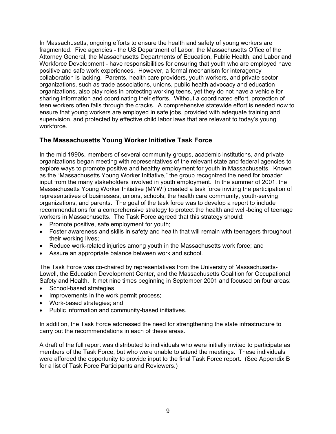In Massachusetts, ongoing efforts to ensure the health and safety of young workers are fragmented. Five agencies - the US Department of Labor, the Massachusetts Office of the Attorney General, the Massachusetts Departments of Education, Public Health, and Labor and Workforce Development - have responsibilities for ensuring that youth who are employed have positive and safe work experiences. However, a formal mechanism for interagency collaboration is lacking. Parents, health care providers, youth workers, and private sector organizations, such as trade associations, unions, public health advocacy and education organizations, also play roles in protecting working teens, yet they do not have a vehicle for sharing information and coordinating their efforts. Without a coordinated effort, protection of teen workers often falls through the cracks. A comprehensive statewide effort is needed *now* to ensure that young workers are employed in safe jobs, provided with adequate training and supervision, and protected by effective child labor laws that are relevant to today's young workforce.

## **The Massachusetts Young Worker Initiative Task Force**

In the mid 1990s, members of several community groups, academic institutions, and private organizations began meeting with representatives of the relevant state and federal agencies to explore ways to promote positive and healthy employment for youth in Massachusetts. Known as the "Massachusetts Young Worker Initiative," the group recognized the need for broader input from the many stakeholders involved in youth employment. In the summer of 2001, the Massachusetts Young Worker Initiative (MYWI) created a task force inviting the participation of representatives of businesses, unions, schools, the health care community, youth-serving organizations, and parents. The goal of the task force was to develop a report to include recommendations for a comprehensive strategy to protect the health and well-being of teenage workers in Massachusetts. The Task Force agreed that this strategy should:

- Promote positive, safe employment for youth;
- Foster awareness and skills in safety and health that will remain with teenagers throughout their working lives;
- Reduce work-related injuries among youth in the Massachusetts work force; and
- Assure an appropriate balance between work and school.

The Task Force was co-chaired by representatives from the University of Massachusetts-Lowell, the Education Development Center, and the Massachusetts Coalition for Occupational Safety and Health. It met nine times beginning in September 2001 and focused on four areas:

- School-based strategies
- Improvements in the work permit process;
- Work-based strategies; and
- Public information and community-based initiatives.

In addition, the Task Force addressed the need for strengthening the state infrastructure to carry out the recommendations in each of these areas.

A draft of the full report was distributed to individuals who were initially invited to participate as members of the Task Force, but who were unable to attend the meetings. These individuals were afforded the opportunity to provide input to the final Task Force report. (See Appendix B for a list of Task Force Participants and Reviewers.)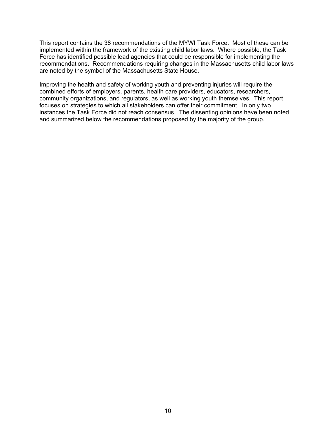This report contains the 38 recommendations of the MYWI Task Force. Most of these can be implemented within the framework of the existing child labor laws. Where possible, the Task Force has identified possible lead agencies that could be responsible for implementing the recommendations. Recommendations requiring changes in the Massachusetts child labor laws are noted by the symbol of the Massachusetts State House.

Improving the health and safety of working youth and preventing injuries will require the combined efforts of employers, parents, health care providers, educators, researchers, community organizations, and regulators, as well as working youth themselves. This report focuses on strategies to which all stakeholders can offer their commitment. In only two instances the Task Force did not reach consensus. The dissenting opinions have been noted and summarized below the recommendations proposed by the majority of the group.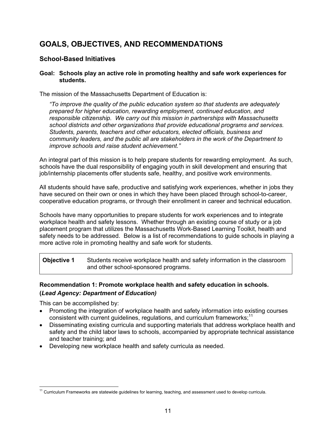## **GOALS, OBJECTIVES, AND RECOMMENDATIONS**

## **School-Based Initiatives**

#### **Goal: Schools play an active role in promoting healthy and safe work experiences for students.**

The mission of the Massachusetts Department of Education is:

*"To improve the quality of the public education system so that students are adequately prepared for higher education, rewarding employment, continued education, and responsible citizenship. We carry out this mission in partnerships with Massachusetts school districts and other organizations that provide educational programs and services. Students, parents, teachers and other educators, elected officials, business and community leaders, and the public all are stakeholders in the work of the Department to improve schools and raise student achievement."* 

An integral part of this mission is to help prepare students for rewarding employment. As such, schools have the dual responsibility of engaging youth in skill development and ensuring that job/internship placements offer students safe, healthy, and positive work environments.

All students should have safe, productive and satisfying work experiences, whether in jobs they have secured on their own or ones in which they have been placed through school-to-career, cooperative education programs, or through their enrollment in career and technical education.

Schools have many opportunities to prepare students for work experiences and to integrate workplace health and safety lessons. Whether through an existing course of study or a job placement program that utilizes the Massachusetts Work-Based Learning Toolkit, health and safety needs to be addressed. Below is a list of recommendations to guide schools in playing a more active role in promoting healthy and safe work for students.

**Objective 1** Students receive workplace health and safety information in the classroom and other school-sponsored programs.

## **Recommendation 1: Promote workplace health and safety education in schools. (***Lead Agency: Department of Education)*

This can be accomplished by:

- Promoting the integration of workplace health and safety information into existing courses consistent with current guidelines, regulations, and curriculum frameworks; $11$
- Disseminating existing curricula and supporting materials that address workplace health and safety and the child labor laws to schools, accompanied by appropriate technical assistance and teacher training; and
- Developing new workplace health and safety curricula as needed.

<sup>-</sup> $11$  Curriculum Frameworks are statewide guidelines for learning, teaching, and assessment used to develop curricula.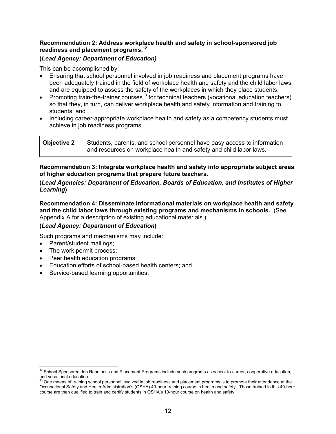#### **Recommendation 2: Address workplace health and safety in school-sponsored job readiness and placement programs.<sup>12</sup>**

### **(***Lead Agency: Department of Education)*

This can be accomplished by:

- Ensuring that school personnel involved in job readiness and placement programs have been adequately trained in the field of workplace health and safety and the child labor laws and are equipped to assess the safety of the workplaces in which they place students;
- Promoting train-the-trainer courses<sup>13</sup> for technical teachers (vocational education teachers) so that they, in turn, can deliver workplace health and safety information and training to students; and
- Including career-appropriate workplace health and safety as a competency students must achieve in job readiness programs.

| <b>Objective 2</b> | Students, parents, and school personnel have easy access to information |
|--------------------|-------------------------------------------------------------------------|
|                    | and resources on workplace health and safety and child labor laws.      |

**Recommendation 3: Integrate workplace health and safety into appropriate subject areas of higher education programs that prepare future teachers.** 

#### **(***Lead Agencies: Department of Education, Boards of Education, and Institutes of Higher Learning***)**

**Recommendation 4: Disseminate informational materials on workplace health and safety and the child labor laws through existing programs and mechanisms in schools.** (See Appendix A for a description of existing educational materials.)

## **(***Lead Agency: Department of Education***)**

Such programs and mechanisms may include:

- Parent/student mailings;
- The work permit process;
- Peer health education programs;
- Education efforts of school-based health centers; and
- Service-based learning opportunities.

  $12$  School Sponsored Job Readiness and Placement Programs include such programs as school-to-career, cooperative education, and vocational education.

<sup>13</sup> One means of training school personnel involved in job readiness and placement programs is to promote their attendance at the Occupational Safety and Health Administration's (OSHA) 40-hour training course in health and safety. Those trained in this 40-hour course are then qualified to train and certify students in OSHA's 10-hour course on health and safety.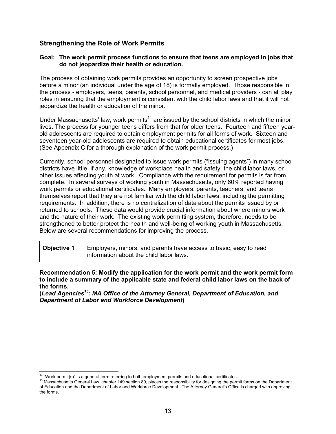## **Strengthening the Role of Work Permits**

#### **Goal: The work permit process functions to ensure that teens are employed in jobs that do not jeopardize their health or education.**

The process of obtaining work permits provides an opportunity to screen prospective jobs before a minor (an individual under the age of 18) is formally employed. Those responsible in the process - employers, teens, parents, school personnel, and medical providers - can all play roles in ensuring that the employment is consistent with the child labor laws and that it will not jeopardize the health or education of the minor.

Under Massachusetts' law, work permits<sup>14</sup> are issued by the school districts in which the minor lives. The process for younger teens differs from that for older teens. Fourteen and fifteen yearold adolescents are required to obtain employment permits for all forms of work. Sixteen and seventeen year-old adolescents are required to obtain educational certificates for most jobs. (See Appendix C for a thorough explanation of the work permit process.)

Currently, school personnel designated to issue work permits ("issuing agents") in many school districts have little, if any, knowledge of workplace health and safety, the child labor laws, or other issues affecting youth at work. Compliance with the requirement for permits is far from complete. In several surveys of working youth in Massachusetts, only 60% reported having work permits or educational certificates. Many employers, parents, teachers, and teens themselves report that they are not familiar with the child labor laws, including the permitting requirements. In addition, there is no centralization of data about the permits issued by or returned to schools. These data would provide crucial information about where minors work and the nature of their work. The existing work permitting system, therefore, needs to be strengthened to better protect the health and well-being of working youth in Massachusetts. Below are several recommendations for improving the process.

| <b>Objective 1</b> | Employers, minors, and parents have access to basic, easy to read |
|--------------------|-------------------------------------------------------------------|
|                    | information about the child labor laws.                           |

**Recommendation 5: Modify the application for the work permit and the work permit form to include a summary of the applicable state and federal child labor laws on the back of the forms.** 

**(***Lead Agencies15: MA Office of the Attorney General, Department of Education, and Department of Labor and Workforce Development***)** 

<sup>&</sup>lt;sup>14</sup> "Work permit(s)" is a general term referring to both employment permits and educational certificates.

<sup>&</sup>lt;sup>15</sup> Massachusetts General Law, chapter 149 section 89, places the responsibility for designing the permit forms on the Department of Education and the Department of Labor and Workforce Development. The Attorney General's Office is charged with approving the forms.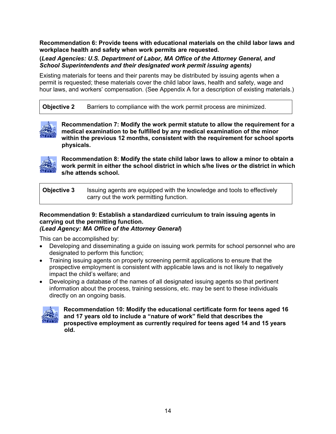**Recommendation 6: Provide teens with educational materials on the child labor laws and workplace health and safety when work permits are requested.** 

### **(***Lead Agencies: U.S. Department of Labor, MA Office of the Attorney General, and School Superintendents and their designated work permit issuing agents)*

Existing materials for teens and their parents may be distributed by issuing agents when a permit is requested; these materials cover the child labor laws, health and safety, wage and hour laws, and workers' compensation. (See Appendix A for a description of existing materials.)

**Objective 2** Barriers to compliance with the work permit process are minimized.



**Recommendation 7: Modify the work permit statute to allow the requirement for a medical examination to be fulfilled by any medical examination of the minor within the previous 12 months, consistent with the requirement for school sports physicals.** 



**Recommendation 8: Modify the state child labor laws to allow a minor to obtain a work permit in either the school district in which s/he lives** *or* **the district in which s/he attends school.** 

**Objective 3** Issuing agents are equipped with the knowledge and tools to effectively carry out the work permitting function.

#### **Recommendation 9: Establish a standardized curriculum to train issuing agents in carrying out the permitting function.**  *(Lead Agency: MA Office of the Attorney General***)**

This can be accomplished by:

- Developing and disseminating a guide on issuing work permits for school personnel who are designated to perform this function;
- Training issuing agents on properly screening permit applications to ensure that the prospective employment is consistent with applicable laws and is not likely to negatively impact the child's welfare; and
- Developing a database of the names of all designated issuing agents so that pertinent information about the process, training sessions, etc. may be sent to these individuals directly on an ongoing basis.



**Recommendation 10: Modify the educational certificate form for teens aged 16 and 17 years old to include a "nature of work" field that describes the prospective employment as currently required for teens aged 14 and 15 years old.**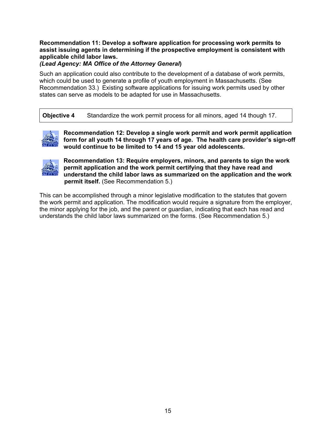### **Recommendation 11: Develop a software application for processing work permits to assist issuing agents in determining if the prospective employment is consistent with applicable child labor laws.**

### *(Lead Agency: MA Office of the Attorney General***)**

Such an application could also contribute to the development of a database of work permits, which could be used to generate a profile of youth employment in Massachusetts. (See Recommendation 33.) Existing software applications for issuing work permits used by other states can serve as models to be adapted for use in Massachusetts.

**Objective 4** Standardize the work permit process for all minors, aged 14 though 17.



**Recommendation 12: Develop a single work permit and work permit application form for all youth 14 through 17 years of age. The health care provider's sign-off would continue to be limited to 14 and 15 year old adolescents.** 



**Recommendation 13: Require employers, minors, and parents to sign the work permit application and the work permit certifying that they have read and understand the child labor laws as summarized on the application and the work permit itself.** (See Recommendation 5.)

This can be accomplished through a minor legislative modification to the statutes that govern the work permit and application. The modification would require a signature from the employer, the minor applying for the job, and the parent or guardian, indicating that each has read and understands the child labor laws summarized on the forms. (See Recommendation 5.)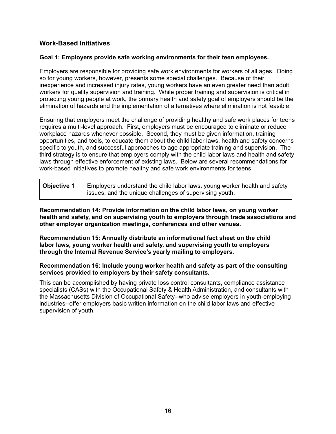## **Work-Based Initiatives**

#### **Goal 1: Employers provide safe working environments for their teen employees.**

Employers are responsible for providing safe work environments for workers of all ages. Doing so for young workers, however, presents some special challenges. Because of their inexperience and increased injury rates, young workers have an even greater need than adult workers for quality supervision and training. While proper training and supervision is critical in protecting young people at work, the primary health and safety goal of employers should be the elimination of hazards and the implementation of alternatives where elimination is not feasible.

Ensuring that employers meet the challenge of providing healthy and safe work places for teens requires a multi-level approach. First, employers must be encouraged to eliminate or reduce workplace hazards whenever possible. Second, they must be given information, training opportunities, and tools, to educate them about the child labor laws, health and safety concerns specific to youth, and successful approaches to age appropriate training and supervision. The third strategy is to ensure that employers comply with the child labor laws and health and safety laws through effective enforcement of existing laws. Below are several recommendations for work-based initiatives to promote healthy and safe work environments for teens.

| Objective 1 | Employers understand the child labor laws, young worker health and safety |
|-------------|---------------------------------------------------------------------------|
|             | issues, and the unique challenges of supervising youth.                   |

**Recommendation 14: Provide information on the child labor laws, on young worker health and safety, and on supervising youth to employers through trade associations and other employer organization meetings, conferences and other venues.** 

**Recommendation 15: Annually distribute an informational fact sheet on the child labor laws, young worker health and safety, and supervising youth to employers through the Internal Revenue Service's yearly mailing to employers.**

**Recommendation 16: Include young worker health and safety as part of the consulting services provided to employers by their safety consultants.** 

This can be accomplished by having private loss control consultants, compliance assistance specialists (CASs) with the Occupational Safety & Health Administration, and consultants with the Massachusetts Division of Occupational Safety--who advise employers in youth-employing industries--offer employers basic written information on the child labor laws and effective supervision of youth.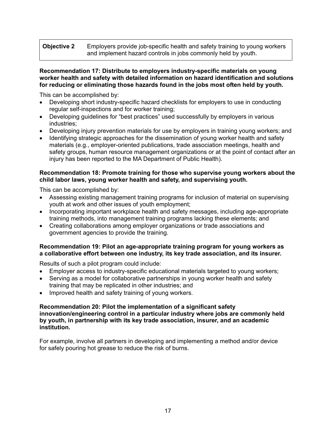## **Objective 2** Employers provide job-specific health and safety training to young workers and implement hazard controls in jobs commonly held by youth.

#### **Recommendation 17: Distribute to employers industry-specific materials on young worker health and safety with detailed information on hazard identification and solutions for reducing or eliminating those hazards found in the jobs most often held by youth***.*

This can be accomplished by:

- Developing short industry-specific hazard checklists for employers to use in conducting regular self-inspections and for worker training;
- Developing guidelines for "best practices" used successfully by employers in various industries;
- Developing injury prevention materials for use by employers in training young workers; and
- Identifying strategic approaches for the dissemination of young worker health and safety materials (e.g., employer-oriented publications, trade association meetings, health and safety groups, human resource management organizations or at the point of contact after an injury has been reported to the MA Department of Public Health).

#### **Recommendation 18: Promote training for those who supervise young workers about the child labor laws, young worker health and safety, and supervising youth.**

This can be accomplished by:

- Assessing existing management training programs for inclusion of material on supervising youth at work and other issues of youth employment;
- Incorporating important workplace health and safety messages, including age-appropriate training methods, into management training programs lacking these elements; and
- Creating collaborations among employer organizations or trade associations and government agencies to provide the training.

#### **Recommendation 19: Pilot an age-appropriate training program for young workers as a collaborative effort between one industry, its key trade association, and its insurer.**

Results of such a pilot program could include:

- Employer access to industry-specific educational materials targeted to young workers;
- Serving as a model for collaborative partnerships in young worker health and safety training that may be replicated in other industries; and
- Improved health and safety training of young workers.

#### **Recommendation 20: Pilot the implementation of a significant safety innovation/engineering control in a particular industry where jobs are commonly held by youth, in partnership with its key trade association, insurer, and an academic institution.**

For example, involve all partners in developing and implementing a method and/or device for safely pouring hot grease to reduce the risk of burns.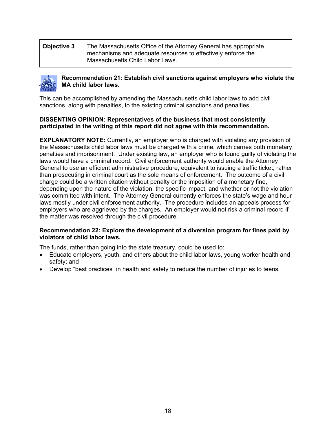**Objective 3** The Massachusetts Office of the Attorney General has appropriate mechanisms and adequate resources to effectively enforce the Massachusetts Child Labor Laws.



### **Recommendation 21: Establish civil sanctions against employers who violate the MA child labor laws.**

This can be accomplished by amending the Massachusetts child labor laws to add civil sanctions, along with penalties, to the existing criminal sanctions and penalties.

#### **DISSENTING OPINION: Representatives of the business that most consistently participated in the writing of this report did not agree with this recommendation.**

**EXPLANATORY NOTE:** Currently, an employer who is charged with violating any provision of the Massachusetts child labor laws must be charged with a crime, which carries both monetary penalties and imprisonment. Under existing law, an employer who is found guilty of violating the laws would have a criminal record. Civil enforcement authority would enable the Attorney General to use an efficient administrative procedure, equivalent to issuing a traffic ticket, rather than prosecuting in criminal court as the sole means of enforcement. The outcome of a civil charge could be a written citation without penalty or the imposition of a monetary fine, depending upon the nature of the violation, the specific impact, and whether or not the violation was committed with intent. The Attorney General currently enforces the state's wage and hour laws mostly under civil enforcement authority. The procedure includes an appeals process for employers who are aggrieved by the charges. An employer would not risk a criminal record if the matter was resolved through the civil procedure.

#### **Recommendation 22: Explore the development of a diversion program for fines paid by violators of child labor laws.**

The funds, rather than going into the state treasury, could be used to:

- Educate employers, youth, and others about the child labor laws, young worker health and safety; and
- Develop "best practices" in health and safety to reduce the number of injuries to teens.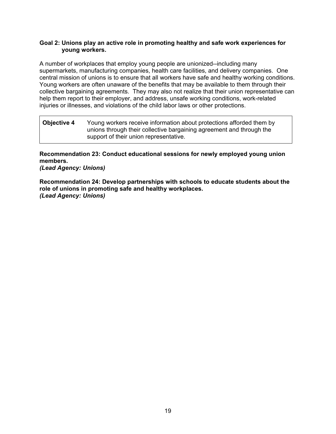#### **Goal 2: Unions play an active role in promoting healthy and safe work experiences for young workers.**

A number of workplaces that employ young people are unionized--including many supermarkets, manufacturing companies, health care facilities, and delivery companies. One central mission of unions is to ensure that all workers have safe and healthy working conditions. Young workers are often unaware of the benefits that may be available to them through their collective bargaining agreements. They may also not realize that their union representative can help them report to their employer, and address, unsafe working conditions, work-related injuries or illnesses, and violations of the child labor laws or other protections.

| <b>Objective 4</b> | Young workers receive information about protections afforded them by<br>unions through their collective bargaining agreement and through the |
|--------------------|----------------------------------------------------------------------------------------------------------------------------------------------|
|                    | support of their union representative.                                                                                                       |

**Recommendation 23: Conduct educational sessions for newly employed young union members.** 

*(Lead Agency: Unions)* 

**Recommendation 24: Develop partnerships with schools to educate students about the role of unions in promoting safe and healthy workplaces.**  *(Lead Agency: Unions)*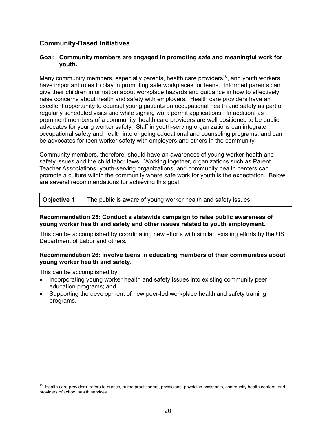## **Community-Based Initiatives**

#### **Goal: Community members are engaged in promoting safe and meaningful work for youth.**

Many community members, especially parents, health care providers<sup>16</sup>, and youth workers have important roles to play in promoting safe workplaces for teens. Informed parents can give their children information about workplace hazards and guidance in how to effectively raise concerns about health and safety with employers. Health care providers have an excellent opportunity to counsel young patients on occupational health and safety as part of regularly scheduled visits and while signing work permit applications. In addition, as prominent members of a community, health care providers are well positioned to be public advocates for young worker safety. Staff in youth-serving organizations can integrate occupational safety and health into ongoing educational and counseling programs, and can be advocates for teen worker safety with employers and others in the community.

Community members, therefore, should have an awareness of young worker health and safety issues and the child labor laws. Working together, organizations such as Parent Teacher Associations, youth-serving organizations, and community health centers can promote a culture within the community where safe work for youth is the expectation. Below are several recommendations for achieving this goal.

**Objective 1** The public is aware of young worker health and safety issues.

#### **Recommendation 25: Conduct a statewide campaign to raise public awareness of young worker health and safety and other issues related to youth employment.**

This can be accomplished by coordinating new efforts with similar, existing efforts by the US Department of Labor and others.

#### **Recommendation 26: Involve teens in educating members of their communities about young worker health and safety.**

This can be accomplished by:

- Incorporating young worker health and safety issues into existing community peer education programs; and
- Supporting the development of new peer-led workplace health and safety training programs.

 $\overline{a}$ <sup>16</sup> "Health care providers" refers to nurses, nurse practitioners, physicians, physician assistants, community health centers, and providers of school health services.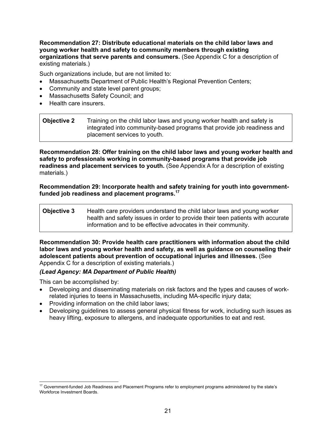**Recommendation 27: Distribute educational materials on the child labor laws and young worker health and safety to community members through existing organizations that serve parents and consumers.** (See Appendix C for a description of existing materials.)

Such organizations include, but are not limited to:

- Massachusetts Department of Public Health's Regional Prevention Centers;
- Community and state level parent groups;
- Massachusetts Safety Council; and
- Health care insurers.

| <b>Objective 2</b> | Training on the child labor laws and young worker health and safety is<br>integrated into community-based programs that provide job readiness and |
|--------------------|---------------------------------------------------------------------------------------------------------------------------------------------------|
|                    | placement services to youth.                                                                                                                      |

**Recommendation 28: Offer training on the child labor laws and young worker health and safety to professionals working in community-based programs that provide job readiness and placement services to youth.** (See Appendix A for a description of existing materials.)

**Recommendation 29: Incorporate health and safety training for youth into governmentfunded job readiness and placement programs.17** 

| <b>Objective 3</b> | Health care providers understand the child labor laws and young worker         |
|--------------------|--------------------------------------------------------------------------------|
|                    | health and safety issues in order to provide their teen patients with accurate |
|                    | information and to be effective advocates in their community.                  |

**Recommendation 30: Provide health care practitioners with information about the child labor laws and young worker health and safety, as well as guidance on counseling their adolescent patients about prevention of occupational injuries and illnesses.** (See Appendix C for a description of existing materials.)

#### *(Lead Agency: MA Department of Public Health)*

This can be accomplished by:

- Developing and disseminating materials on risk factors and the types and causes of workrelated injuries to teens in Massachusetts, including MA-specific injury data;
- Providing information on the child labor laws;
- Developing guidelines to assess general physical fitness for work, including such issues as heavy lifting, exposure to allergens, and inadequate opportunities to eat and rest.

 $\overline{a}$  $17$  Government-funded Job Readiness and Placement Programs refer to employment programs administered by the state's Workforce Investment Boards.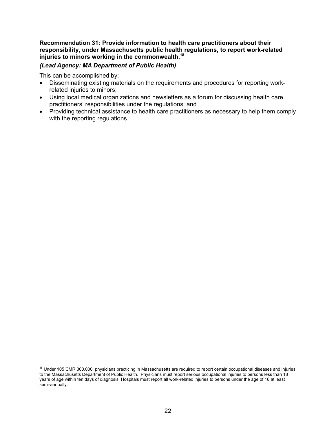**Recommendation 31: Provide information to health care practitioners about their responsibility, under Massachusetts public health regulations, to report work-related injuries to minors working in the commonwealth.18**

### *(Lead Agency: MA Department of Public Health)*

This can be accomplished by:

 $\overline{a}$ 

- Disseminating existing materials on the requirements and procedures for reporting workrelated injuries to minors;
- Using local medical organizations and newsletters as a forum for discussing health care practitioners' responsibilities under the regulations; and
- Providing technical assistance to health care practitioners as necessary to help them comply with the reporting regulations.

<sup>&</sup>lt;sup>18</sup> Under 105 CMR 300.000, physicians practicing in Massachusetts are required to report certain occupational diseases and injuries to the Massachusetts Department of Public Health. Physicians must report serious occupational injuries to persons less than 18 years of age within ten days of diagnosis. Hospitals must report all work-related injuries to persons under the age of 18 at least semi-annually.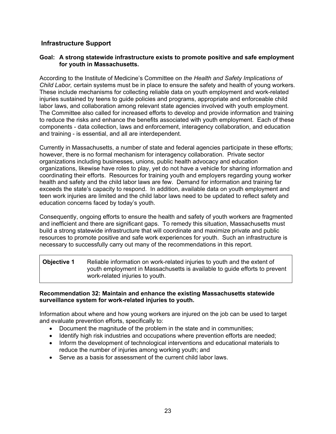## **Infrastructure Support**

#### **Goal: A strong statewide infrastructure exists to promote positive and safe employment for youth in Massachusetts.**

According to the Institute of Medicine's Committee on *the Health and Safety Implications of Child Labor,* certain systems must be in place to ensure the safety and health of young workers. These include mechanisms for collecting reliable data on youth employment and work-related injuries sustained by teens to guide policies and programs, appropriate and enforceable child labor laws, and collaboration among relevant state agencies involved with youth employment. The Committee also called for increased efforts to develop and provide information and training to reduce the risks and enhance the benefits associated with youth employment. Each of these components - data collection, laws and enforcement, interagency collaboration, and education and training - is essential, and all are interdependent.

Currently in Massachusetts, a number of state and federal agencies participate in these efforts; however, there is no formal mechanism for interagency collaboration. Private sector organizations including businesses, unions, public health advocacy and education organizations, likewise have roles to play, yet do not have a vehicle for sharing information and coordinating their efforts. Resources for training youth and employers regarding young worker health and safety and the child labor laws are few. Demand for information and training far exceeds the state's capacity to respond. In addition, available data on youth employment and teen work injuries are limited and the child labor laws need to be updated to reflect safety and education concerns faced by today's youth.

Consequently, ongoing efforts to ensure the health and safety of youth workers are fragmented and inefficient and there are significant gaps. To remedy this situation, Massachusetts must build a strong statewide infrastructure that will coordinate and maximize private and public resources to promote positive and safe work experiences for youth. Such an infrastructure is necessary to successfully carry out many of the recommendations in this report.

**Objective 1** Reliable information on work-related injuries to youth and the extent of youth employment in Massachusetts is available to guide efforts to prevent work-related injuries to youth.

#### **Recommendation 32: Maintain and enhance the existing Massachusetts statewide surveillance system for work-related injuries to youth.**

Information about where and how young workers are injured on the job can be used to target and evaluate prevention efforts, specifically to:

- Document the magnitude of the problem in the state and in communities;
- Identify high risk industries and occupations where prevention efforts are needed;
- Inform the development of technological interventions and educational materials to reduce the number of injuries among working youth; and
- Serve as a basis for assessment of the current child labor laws.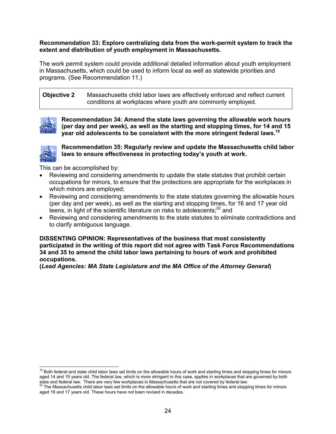#### **Recommendation 33: Explore centralizing data from the work-permit system to track the extent and distribution of youth employment in Massachusetts.**

The work permit system could provide additional detailed information about youth employment in Massachusetts, which could be used to inform local as well as statewide priorities and programs. (See Recommendation 11.)

**Objective 2** Massachusetts child labor laws are effectively enforced and reflect current conditions at workplaces where youth are commonly employed.



**Recommendation 34: Amend the state laws governing the allowable work hours (per day and per week), as well as the starting and stopping times, for 14 and 15 year old adolescents to be consistent with the more stringent federal laws.19**



**Recommendation 35: Regularly review and update the Massachusetts child labor laws to ensure effectiveness in protecting today's youth at work.**

This can be accomplished by:

- Reviewing and considering amendments to update the state statutes that prohibit certain occupations for minors, to ensure that the protections are appropriate for the workplaces in which minors are employed;
- Reviewing and considering amendments to the state statutes governing the allowable hours (per day and per week), as well as the starting and stopping times, for 16 and 17 year old teens, in light of the scientific literature on risks to adolescents;<sup>20</sup> and
- Reviewing and considering amendments to the state statutes to eliminate contradictions and to clarify ambiguous language.

**DISSENTING OPINION: Representatives of the business that most consistently participated in the writing of this report did not agree with Task Force Recommendations 34 and 35 to amend the child labor laws pertaining to hours of work and prohibited occupations.** 

**(***Lead Agencies: MA State Legislature and the MA Office of the Attorney General***)** 

<sup>-</sup><sup>19</sup> Both federal and state child labor laws set limits on the allowable hours of work and starting times and stopping times for minors aged 14 and 15 years old. The federal law, which is more stringent in this case, applies in workplaces that are governed by both

state and federal law. There are very few workplaces in Massachusetts that are not covered by federal law.<br><sup>20</sup> The Massachusetts child labor laws set limits on the allowable hours of work and starting times and stopping t aged 16 and 17 years old. These hours have not been revised in decades.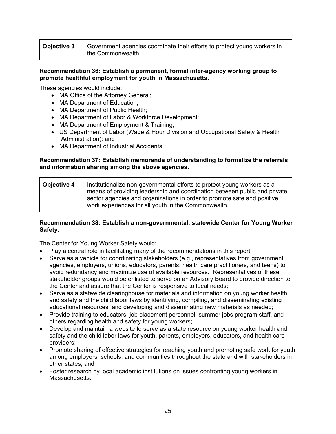### **Objective 3** Government agencies coordinate their efforts to protect young workers in the Commonwealth.

#### **Recommendation 36: Establish a permanent, formal inter-agency working group to promote healthful employment for youth in Massachusetts.**

These agencies would include:

- MA Office of the Attorney General;
- MA Department of Education;
- MA Department of Public Health;
- MA Department of Labor & Workforce Development;
- MA Department of Employment & Training;
- US Department of Labor (Wage & Hour Division and Occupational Safety & Health Administration); and
- MA Department of Industrial Accidents.

#### **Recommendation 37: Establish memoranda of understanding to formalize the referrals and information sharing among the above agencies.**

#### **Objective 4** Institutionalize non-governmental efforts to protect young workers as a means of providing leadership and coordination between public and private sector agencies and organizations in order to promote safe and positive work experiences for all youth in the Commonwealth.

#### **Recommendation 38: Establish a non-governmental, statewide Center for Young Worker Safety.**

The Center for Young Worker Safety would:

- Play a central role in facilitating many of the recommendations in this report;
- Serve as a vehicle for coordinating stakeholders (e.g., representatives from government agencies, employers, unions, educators, parents, health care practitioners, and teens) to avoid redundancy and maximize use of available resources. Representatives of these stakeholder groups would be enlisted to serve on an Advisory Board to provide direction to the Center and assure that the Center is responsive to local needs;
- Serve as a statewide clearinghouse for materials and information on young worker health and safety and the child labor laws by identifying, compiling, and disseminating existing educational resources, and developing and disseminating new materials as needed;
- Provide training to educators, job placement personnel, summer jobs program staff, and others regarding health and safety for young workers;
- Develop and maintain a website to serve as a state resource on young worker health and safety and the child labor laws for youth, parents, employers, educators, and health care providers;
- Promote sharing of effective strategies for reaching youth and promoting safe work for youth among employers, schools, and communities throughout the state and with stakeholders in other states; and
- Foster research by local academic institutions on issues confronting young workers in Massachusetts.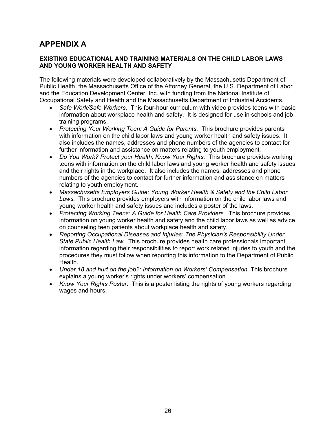## **APPENDIX A**

### **EXISTING EDUCATIONAL AND TRAINING MATERIALS ON THE CHILD LABOR LAWS AND YOUNG WORKER HEALTH AND SAFETY**

The following materials were developed collaboratively by the Massachusetts Department of Public Health, the Massachusetts Office of the Attorney General, the U.S. Department of Labor and the Education Development Center, Inc. with funding from the National Institute of Occupational Safety and Health and the Massachusetts Department of Industrial Accidents.

- *Safe Work/Safe Workers.* This four-hour curriculum with video provides teens with basic information about workplace health and safety. It is designed for use in schools and job training programs.
- *Protecting Your Working Teen: A Guide for Parents.* This brochure provides parents with information on the child labor laws and young worker health and safety issues. It also includes the names, addresses and phone numbers of the agencies to contact for further information and assistance on matters relating to youth employment*.*
- *Do You Work? Protect your Health, Know Your Rights.* This brochure provides working teens with information on the child labor laws and young worker health and safety issues and their rights in the workplace. It also includes the names, addresses and phone numbers of the agencies to contact for further information and assistance on matters relating to youth employment.
- *Massachusetts Employers Guide: Young Worker Health & Safety and the Child Labor Laws.* This brochure provides employers with information on the child labor laws and young worker health and safety issues and includes a poster of the laws.
- *Protecting Working Teens: A Guide for Health Care Providers.* This brochure provides information on young worker health and safety and the child labor laws as well as advice on counseling teen patients about workplace health and safety.
- *Reporting Occupational Diseases and Injuries: The Physician's Responsibility Under State Public Health Law.* This brochure provides health care professionals important information regarding their responsibilities to report work related injuries to youth and the procedures they must follow when reporting this information to the Department of Public Health.
- *Under 18 and hurt on the job?: Information on Workers' Compensation.* This brochure explains a young worker's rights under workers' compensation.
- *Know Your Rights Poster*. This is a poster listing the rights of young workers regarding wages and hours.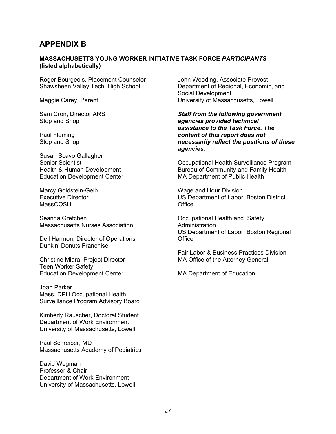## **APPENDIX B**

#### **MASSACHUSETTS YOUNG WORKER INITIATIVE TASK FORCE** *PARTICIPANTS* **(listed alphabetically)**

Roger Bourgeois, Placement Counselor Shawsheen Valley Tech. High School

Maggie Carey, Parent

Sam Cron, Director ARS Stop and Shop

Paul Fleming Stop and Shop

Susan Scavo Gallagher Senior Scientist Health & Human Development Education Development Center

Marcy Goldstein-Gelb Executive Director MassCOSH

Seanna Gretchen Massachusetts Nurses Association

Dell Harmon, Director of Operations Dunkin' Donuts Franchise

Christine Miara, Project Director Teen Worker Safety Education Development Center

Joan Parker Mass. DPH Occupational Health Surveillance Program Advisory Board

Kimberly Rauscher, Doctoral Student Department of Work Environment University of Massachusetts, Lowell

Paul Schreiber, MD Massachusetts Academy of Pediatrics

David Wegman Professor & Chair Department of Work Environment University of Massachusetts, Lowell John Wooding, Associate Provost Department of Regional, Economic, and Social Development University of Massachusetts, Lowell

*Staff from the following government agencies provided technical assistance to the Task Force. The content of this report does not necessarily reflect the positions of these agencies.* 

Occupational Health Surveillance Program Bureau of Community and Family Health MA Department of Public Health

Wage and Hour Division US Department of Labor, Boston District **Office** 

Occupational Health and Safety Administration US Department of Labor, Boston Regional **Office** 

Fair Labor & Business Practices Division MA Office of the Attorney General

MA Department of Education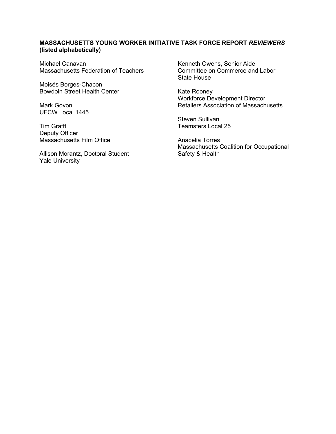### **MASSACHUSETTS YOUNG WORKER INITIATIVE TASK FORCE REPORT** *REVIEWERS* **(listed alphabetically)**

Michael Canavan Massachusetts Federation of Teachers

Moisés Borges-Chacon Bowdoin Street Health Center

Mark Govoni UFCW Local 1445

Tim Grafft Deputy Officer Massachusetts Film Office

Allison Morantz, Doctoral Student Yale University

Kenneth Owens, Senior Aide Committee on Commerce and Labor State House

Kate Rooney Workforce Development Director Retailers Association of Massachusetts

Steven Sullivan Teamsters Local 25

Anacelia Torres Massachusetts Coalition for Occupational Safety & Health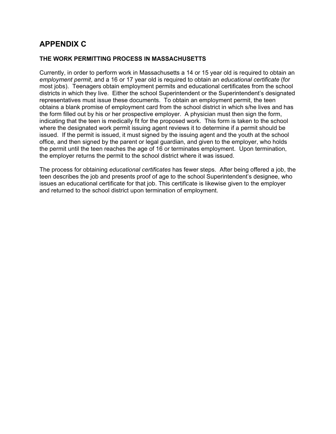## **APPENDIX C**

#### **THE WORK PERMITTING PROCESS IN MASSACHUSETTS**

Currently, in order to perform work in Massachusetts a 14 or 15 year old is required to obtain an *employment permit*, and a 16 or 17 year old is required to obtain an *educational certificate* (for most jobs). Teenagers obtain employment permits and educational certificates from the school districts in which they live. Either the school Superintendent or the Superintendent's designated representatives must issue these documents. To obtain an employment permit, the teen obtains a blank promise of employment card from the school district in which s/he lives and has the form filled out by his or her prospective employer. A physician must then sign the form, indicating that the teen is medically fit for the proposed work. This form is taken to the school where the designated work permit issuing agent reviews it to determine if a permit should be issued. If the permit is issued, it must signed by the issuing agent and the youth at the school office, and then signed by the parent or legal guardian, and given to the employer, who holds the permit until the teen reaches the age of 16 or terminates employment. Upon termination, the employer returns the permit to the school district where it was issued.

The process for obtaining *educational certificates* has fewer steps. After being offered a job, the teen describes the job and presents proof of age to the school Superintendent's designee, who issues an educational certificate for that job. This certificate is likewise given to the employer and returned to the school district upon termination of employment.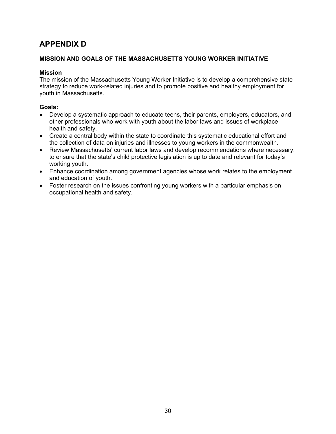## **APPENDIX D**

### **MISSION AND GOALS OF THE MASSACHUSETTS YOUNG WORKER INITIATIVE**

#### **Mission**

The mission of the Massachusetts Young Worker Initiative is to develop a comprehensive state strategy to reduce work-related injuries and to promote positive and healthy employment for youth in Massachusetts.

#### **Goals:**

- Develop a systematic approach to educate teens, their parents, employers, educators, and other professionals who work with youth about the labor laws and issues of workplace health and safety.
- Create a central body within the state to coordinate this systematic educational effort and the collection of data on injuries and illnesses to young workers in the commonwealth.
- Review Massachusetts' current labor laws and develop recommendations where necessary, to ensure that the state's child protective legislation is up to date and relevant for today's working youth.
- Enhance coordination among government agencies whose work relates to the employment and education of youth.
- Foster research on the issues confronting young workers with a particular emphasis on occupational health and safety.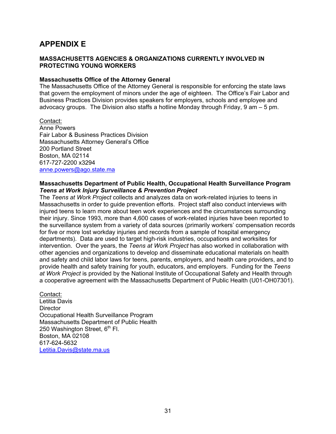## **APPENDIX E**

#### **MASSACHUSETTS AGENCIES & ORGANIZATIONS CURRENTLY INVOLVED IN PROTECTING YOUNG WORKERS**

#### **Massachusetts Office of the Attorney General**

The Massachusetts Office of the Attorney General is responsible for enforcing the state laws that govern the employment of minors under the age of eighteen. The Office's Fair Labor and Business Practices Division provides speakers for employers, schools and employee and advocacy groups. The Division also staffs a hotline Monday through Friday, 9 am – 5 pm.

#### Contact:

Anne Powers Fair Labor & Business Practices Division Massachusetts Attorney General's Office 200 Portland Street Boston, MA 02114 617-727-2200 x3294 anne.powers@ago.state.ma

#### **Massachusetts Department of Public Health, Occupational Health Surveillance Program**  *Teens at Work Injury Surveillance & Prevention Project*

The *Teens at Work Project* collects and analyzes data on work-related injuries to teens in Massachusetts in order to guide prevention efforts. Project staff also conduct interviews with injured teens to learn more about teen work experiences and the circumstances surrounding their injury. Since 1993, more than 4,600 cases of work-related injuries have been reported to the surveillance system from a variety of data sources (primarily workers' compensation records for five or more lost workday injuries and records from a sample of hospital emergency departments). Data are used to target high-risk industries, occupations and worksites for intervention. Over the years, the *Teens at Work Project* has also worked in collaboration with other agencies and organizations to develop and disseminate educational materials on health and safety and child labor laws for teens, parents, employers, and health care providers, and to provide health and safety training for youth, educators, and employers. Funding for the *Teens at Work Project* is provided by the National Institute of Occupational Safety and Health through a cooperative agreement with the Massachusetts Department of Public Health (U01-OH07301).

#### Contact:

Letitia Davis **Director** Occupational Health Surveillance Program Massachusetts Department of Public Health 250 Washington Street,  $6<sup>th</sup>$  Fl. Boston, MA 02108 617-624-5632 Letitia.Davis@state.ma.us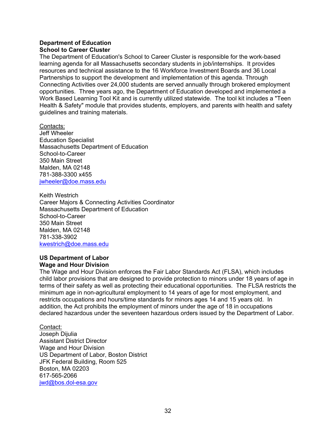## **Department of Education**

#### **School to Career Cluster**

The Department of Education's School to Career Cluster is responsible for the work-based learning agenda for all Massachusetts secondary students in job/internships. It provides resources and technical assistance to the 16 Workforce Investment Boards and 36 Local Partnerships to support the development and implementation of this agenda. Through Connecting Activities over 24,000 students are served annually through brokered employment opportunities. Three years ago, the Department of Education developed and implemented a Work Based Learning Tool Kit and is currently utilized statewide. The tool kit includes a "Teen Health & Safety" module that provides students, employers, and parents with health and safety guidelines and training materials.

Contacts: Jeff Wheeler Education Specialist Massachusetts Department of Education School-to-Career 350 Main Street Malden, MA 02148 781-388-3300 x455 jwheeler@doe.mass.edu

Keith Westrich Career Majors & Connecting Activities Coordinator Massachusetts Department of Education School-to-Career 350 Main Street Malden, MA 02148 781-338-3902 kwestrich@doe.mass.edu

### **US Department of Labor Wage and Hour Division**

The Wage and Hour Division enforces the Fair Labor Standards Act (FLSA), which includes child labor provisions that are designed to provide protection to minors under 18 years of age in terms of their safety as well as protecting their educational opportunities. The FLSA restricts the minimum age in non-agricultural employment to 14 years of age for most employment, and restricts occupations and hours/time standards for minors ages 14 and 15 years old. In addition, the Act prohibits the employment of minors under the age of 18 in occupations declared hazardous under the seventeen hazardous orders issued by the Department of Labor.

## Contact:

Joseph Dijulia Assistant District Director Wage and Hour Division US Department of Labor, Boston District JFK Federal Building, Room 525 Boston, MA 02203 617-565-2066 jwd@bos.dol-esa.gov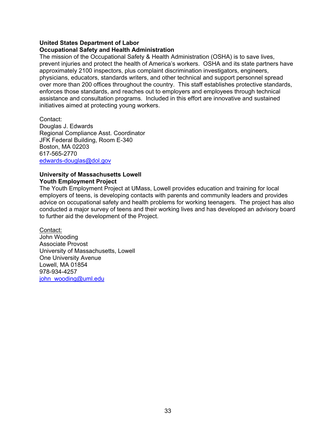#### **United States Department of Labor**

#### **Occupational Safety and Health Administration**

The mission of the Occupational Safety & Health Administration (OSHA) is to save lives, prevent injuries and protect the health of America's workers. OSHA and its state partners have approximately 2100 inspectors, plus complaint discrimination investigators, engineers, physicians, educators, standards writers, and other technical and support personnel spread over more than 200 offices throughout the country. This staff establishes protective standards, enforces those standards, and reaches out to employers and employees through technical assistance and consultation programs. Included in this effort are innovative and sustained initiatives aimed at protecting young workers.

Contact: Douglas J. Edwards Regional Compliance Asst. Coordinator JFK Federal Building, Room E-340 Boston, MA 02203 617-565-2770 edwards-douglas@dol.gov

#### **University of Massachusetts Lowell Youth Employment Project**

The Youth Employment Project at UMass, Lowell provides education and training for local employers of teens, is developing contacts with parents and community leaders and provides advice on occupational safety and health problems for working teenagers. The project has also conducted a major survey of teens and their working lives and has developed an advisory board to further aid the development of the Project.

Contact: John Wooding Associate Provost University of Massachusetts, Lowell One University Avenue Lowell, MA 01854 978-934-4257 john\_wooding@uml.edu